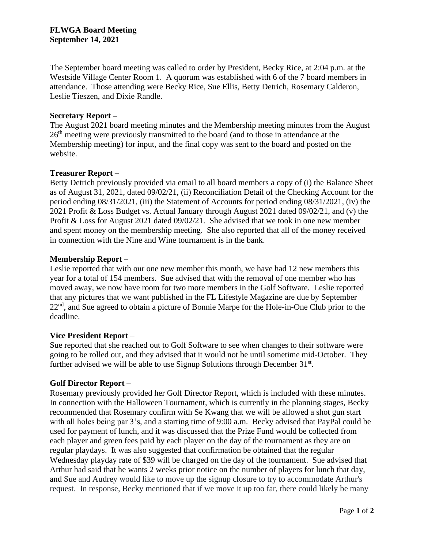The September board meeting was called to order by President, Becky Rice, at 2:04 p.m. at the Westside Village Center Room 1. A quorum was established with 6 of the 7 board members in attendance. Those attending were Becky Rice, Sue Ellis, Betty Detrich, Rosemary Calderon, Leslie Tieszen, and Dixie Randle.

# **Secretary Report –**

The August 2021 board meeting minutes and the Membership meeting minutes from the August 26<sup>th</sup> meeting were previously transmitted to the board (and to those in attendance at the Membership meeting) for input, and the final copy was sent to the board and posted on the website.

## **Treasurer Report –**

Betty Detrich previously provided via email to all board members a copy of (i) the Balance Sheet as of August 31, 2021, dated 09/02/21, (ii) Reconciliation Detail of the Checking Account for the period ending 08/31/2021, (iii) the Statement of Accounts for period ending 08/31/2021, (iv) the 2021 Profit & Loss Budget vs. Actual January through August 2021 dated 09/02/21, and (v) the Profit & Loss for August 2021 dated 09/02/21. She advised that we took in one new member and spent money on the membership meeting. She also reported that all of the money received in connection with the Nine and Wine tournament is in the bank.

# **Membership Report –**

Leslie reported that with our one new member this month, we have had 12 new members this year for a total of 154 members. Sue advised that with the removal of one member who has moved away, we now have room for two more members in the Golf Software. Leslie reported that any pictures that we want published in the FL Lifestyle Magazine are due by September 22<sup>nd</sup>, and Sue agreed to obtain a picture of Bonnie Marpe for the Hole-in-One Club prior to the deadline.

# **Vice President Report** –

Sue reported that she reached out to Golf Software to see when changes to their software were going to be rolled out, and they advised that it would not be until sometime mid-October. They further advised we will be able to use Signup Solutions through December 31<sup>st</sup>.

# **Golf Director Report –**

Rosemary previously provided her Golf Director Report, which is included with these minutes. In connection with the Halloween Tournament, which is currently in the planning stages, Becky recommended that Rosemary confirm with Se Kwang that we will be allowed a shot gun start with all holes being par 3's, and a starting time of 9:00 a.m. Becky advised that PayPal could be used for payment of lunch, and it was discussed that the Prize Fund would be collected from each player and green fees paid by each player on the day of the tournament as they are on regular playdays. It was also suggested that confirmation be obtained that the regular Wednesday playday rate of \$39 will be charged on the day of the tournament. Sue advised that Arthur had said that he wants 2 weeks prior notice on the number of players for lunch that day, and Sue and Audrey would like to move up the signup closure to try to accommodate Arthur's request. In response, Becky mentioned that if we move it up too far, there could likely be many